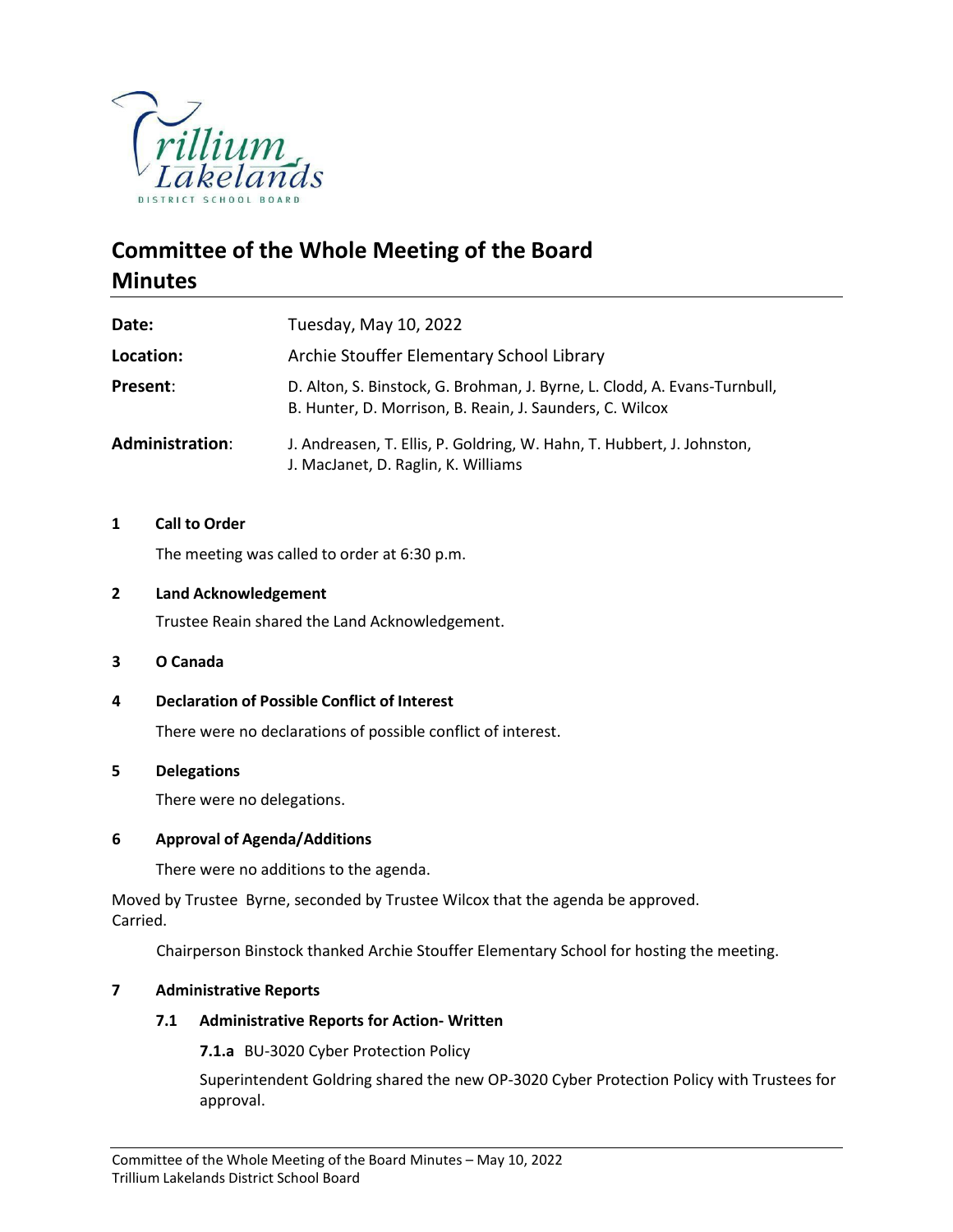

# **Committee of the Whole Meeting of the Board Minutes**

| Date:           | Tuesday, May 10, 2022                                                                                                                 |
|-----------------|---------------------------------------------------------------------------------------------------------------------------------------|
| Location:       | Archie Stouffer Elementary School Library                                                                                             |
| Present:        | D. Alton, S. Binstock, G. Brohman, J. Byrne, L. Clodd, A. Evans-Turnbull,<br>B. Hunter, D. Morrison, B. Reain, J. Saunders, C. Wilcox |
| Administration: | J. Andreasen, T. Ellis, P. Goldring, W. Hahn, T. Hubbert, J. Johnston,<br>J. MacJanet, D. Raglin, K. Williams                         |

# **1 Call to Order**

The meeting was called to order at 6:30 p.m.

#### **2 Land Acknowledgement**

Trustee Reain shared the Land Acknowledgement.

#### **3 O Canada**

# **4 Declaration of Possible Conflict of Interest**

There were no declarations of possible conflict of interest.

#### **5 Delegations**

There were no delegations.

# **6 Approval of Agenda/Additions**

There were no additions to the agenda.

Moved by Trustee Byrne, seconded by Trustee Wilcox that the agenda be approved. Carried.

Chairperson Binstock thanked Archie Stouffer Elementary School for hosting the meeting.

# **7 Administrative Reports**

# **7.1 Administrative Reports for Action- Written**

**7.1.a** BU-3020 Cyber Protection Policy

Superintendent Goldring shared the new OP-3020 Cyber Protection Policy with Trustees for approval.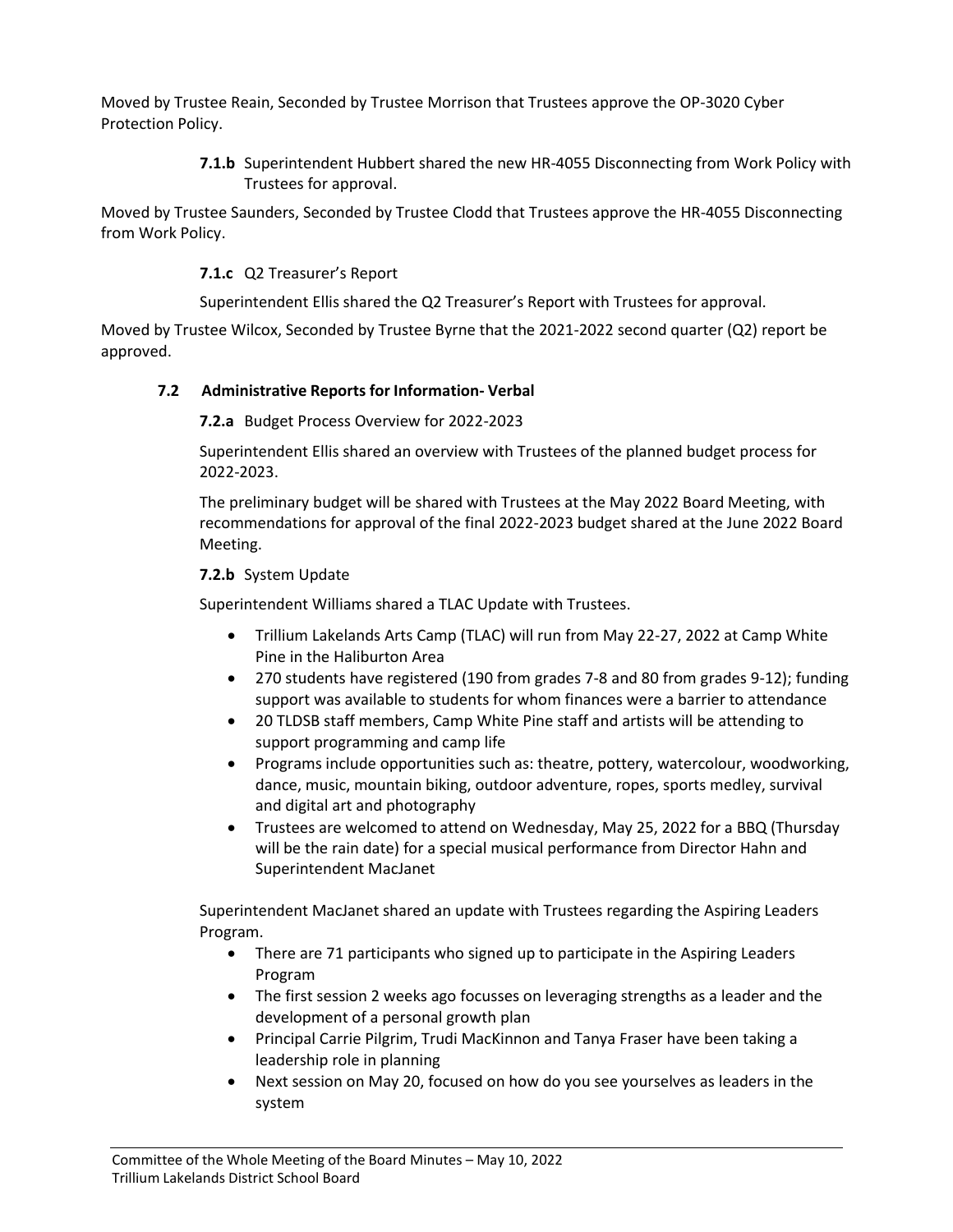Moved by Trustee Reain, Seconded by Trustee Morrison that Trustees approve the OP-3020 Cyber Protection Policy.

> **7.1.b** Superintendent Hubbert shared the new HR-4055 Disconnecting from Work Policy with Trustees for approval.

Moved by Trustee Saunders, Seconded by Trustee Clodd that Trustees approve the HR-4055 Disconnecting from Work Policy.

**7.1.c** Q2 Treasurer's Report

Superintendent Ellis shared the Q2 Treasurer's Report with Trustees for approval.

Moved by Trustee Wilcox, Seconded by Trustee Byrne that the 2021-2022 second quarter (Q2) report be approved.

# **7.2 Administrative Reports for Information- Verbal**

**7.2.a** Budget Process Overview for 2022-2023

Superintendent Ellis shared an overview with Trustees of the planned budget process for 2022-2023.

The preliminary budget will be shared with Trustees at the May 2022 Board Meeting, with recommendations for approval of the final 2022-2023 budget shared at the June 2022 Board Meeting.

# **7.2.b** System Update

Superintendent Williams shared a TLAC Update with Trustees.

- Trillium Lakelands Arts Camp (TLAC) will run from May 22-27, 2022 at Camp White Pine in the Haliburton Area
- 270 students have registered (190 from grades 7-8 and 80 from grades 9-12); funding support was available to students for whom finances were a barrier to attendance
- 20 TLDSB staff members, Camp White Pine staff and artists will be attending to support programming and camp life
- Programs include opportunities such as: theatre, pottery, watercolour, woodworking, dance, music, mountain biking, outdoor adventure, ropes, sports medley, survival and digital art and photography
- Trustees are welcomed to attend on Wednesday, May 25, 2022 for a BBQ (Thursday will be the rain date) for a special musical performance from Director Hahn and Superintendent MacJanet

Superintendent MacJanet shared an update with Trustees regarding the Aspiring Leaders Program.

- There are 71 participants who signed up to participate in the Aspiring Leaders Program
- The first session 2 weeks ago focusses on leveraging strengths as a leader and the development of a personal growth plan
- Principal Carrie Pilgrim, Trudi MacKinnon and Tanya Fraser have been taking a leadership role in planning
- Next session on May 20, focused on how do you see yourselves as leaders in the system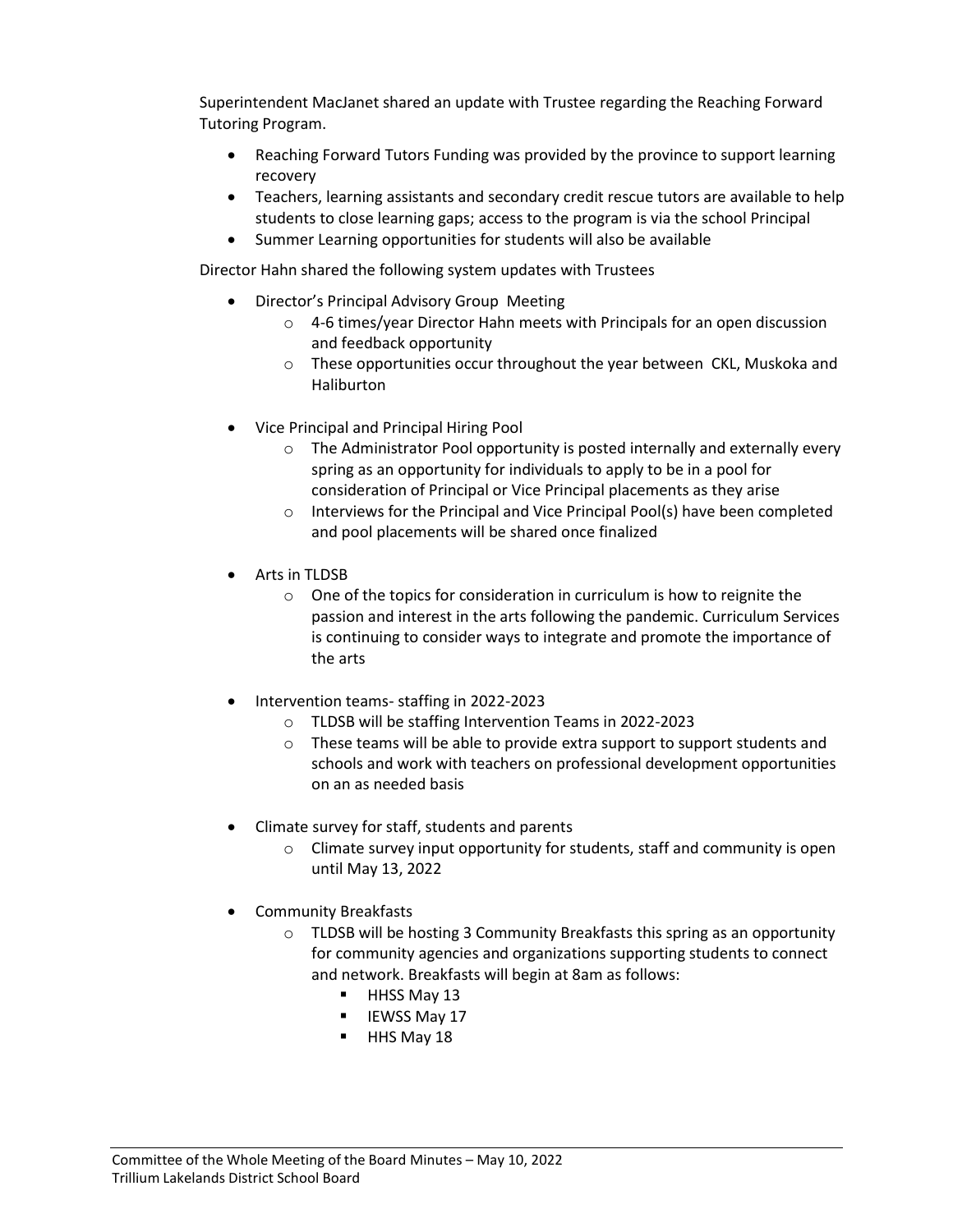Superintendent MacJanet shared an update with Trustee regarding the Reaching Forward Tutoring Program.

- Reaching Forward Tutors Funding was provided by the province to support learning recovery
- Teachers, learning assistants and secondary credit rescue tutors are available to help students to close learning gaps; access to the program is via the school Principal
- Summer Learning opportunities for students will also be available

Director Hahn shared the following system updates with Trustees

- Director's Principal Advisory Group Meeting
	- o 4-6 times/year Director Hahn meets with Principals for an open discussion and feedback opportunity
	- o These opportunities occur throughout the year between CKL, Muskoka and Haliburton
- Vice Principal and Principal Hiring Pool
	- o The Administrator Pool opportunity is posted internally and externally every spring as an opportunity for individuals to apply to be in a pool for consideration of Principal or Vice Principal placements as they arise
	- o Interviews for the Principal and Vice Principal Pool(s) have been completed and pool placements will be shared once finalized
- Arts in TLDSB
	- $\circ$  One of the topics for consideration in curriculum is how to reignite the passion and interest in the arts following the pandemic. Curriculum Services is continuing to consider ways to integrate and promote the importance of the arts
- Intervention teams- staffing in 2022-2023
	- o TLDSB will be staffing Intervention Teams in 2022-2023
	- $\circ$  These teams will be able to provide extra support to support students and schools and work with teachers on professional development opportunities on an as needed basis
- Climate survey for staff, students and parents
	- $\circ$  Climate survey input opportunity for students, staff and community is open until May 13, 2022
- Community Breakfasts
	- o TLDSB will be hosting 3 Community Breakfasts this spring as an opportunity for community agencies and organizations supporting students to connect and network. Breakfasts will begin at 8am as follows:
		- HHSS May 13
		- IEWSS May 17
		- HHS May 18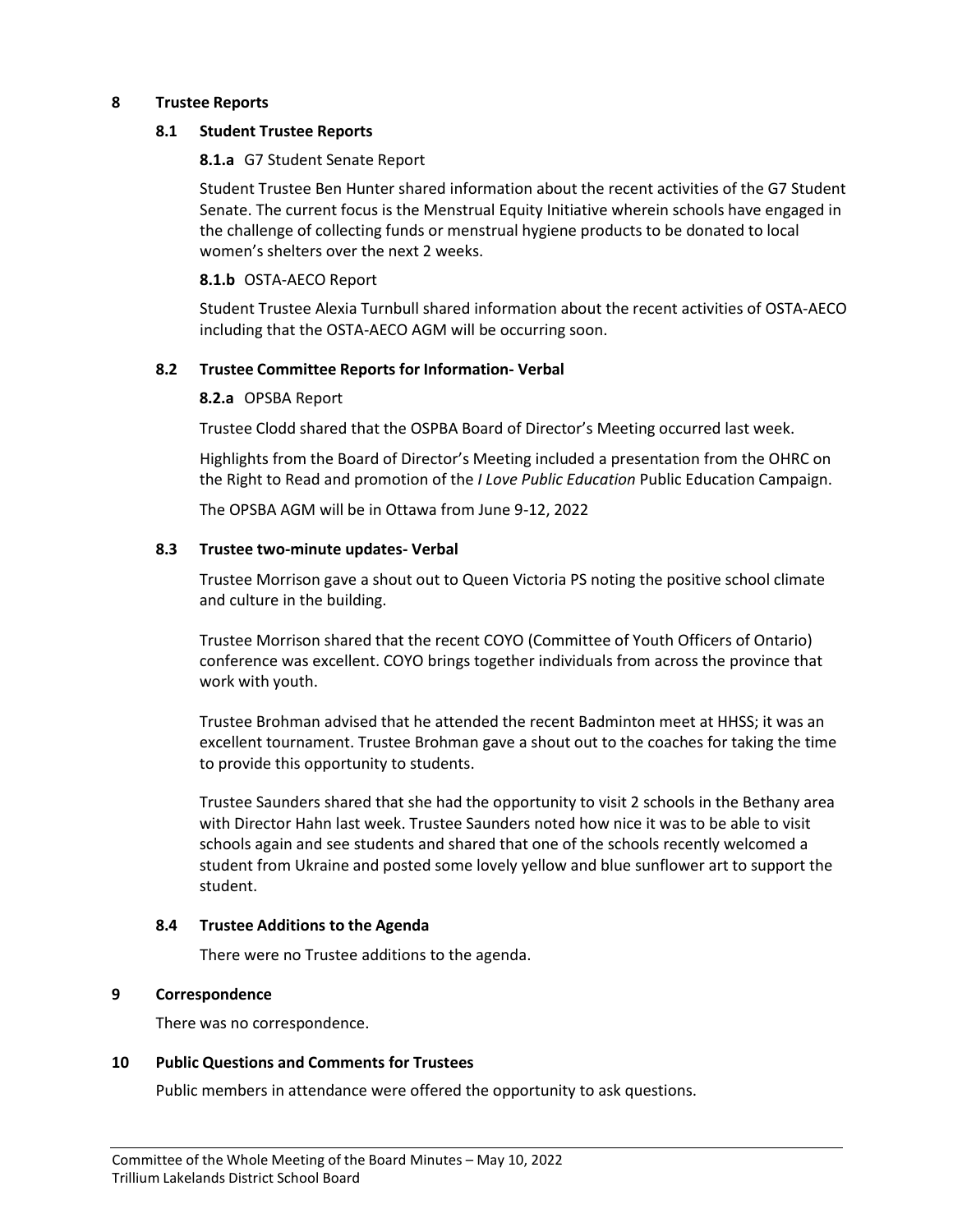# **8 Trustee Reports**

#### **8.1 Student Trustee Reports**

#### **8.1.a** G7 Student Senate Report

Student Trustee Ben Hunter shared information about the recent activities of the G7 Student Senate. The current focus is the Menstrual Equity Initiative wherein schools have engaged in the challenge of collecting funds or menstrual hygiene products to be donated to local women's shelters over the next 2 weeks.

#### **8.1.b** OSTA-AECO Report

Student Trustee Alexia Turnbull shared information about the recent activities of OSTA-AECO including that the OSTA-AECO AGM will be occurring soon.

# **8.2 Trustee Committee Reports for Information- Verbal**

#### **8.2.a** OPSBA Report

Trustee Clodd shared that the OSPBA Board of Director's Meeting occurred last week.

Highlights from the Board of Director's Meeting included a presentation from the OHRC on the Right to Read and promotion of the *I Love Public Education* Public Education Campaign.

The OPSBA AGM will be in Ottawa from June 9-12, 2022

#### **8.3 Trustee two-minute updates- Verbal**

Trustee Morrison gave a shout out to Queen Victoria PS noting the positive school climate and culture in the building.

Trustee Morrison shared that the recent COYO (Committee of Youth Officers of Ontario) conference was excellent. COYO brings together individuals from across the province that work with youth.

Trustee Brohman advised that he attended the recent Badminton meet at HHSS; it was an excellent tournament. Trustee Brohman gave a shout out to the coaches for taking the time to provide this opportunity to students.

Trustee Saunders shared that she had the opportunity to visit 2 schools in the Bethany area with Director Hahn last week. Trustee Saunders noted how nice it was to be able to visit schools again and see students and shared that one of the schools recently welcomed a student from Ukraine and posted some lovely yellow and blue sunflower art to support the student.

#### **8.4 Trustee Additions to the Agenda**

There were no Trustee additions to the agenda.

# **9 Correspondence**

There was no correspondence.

# **10 Public Questions and Comments for Trustees**

Public members in attendance were offered the opportunity to ask questions.